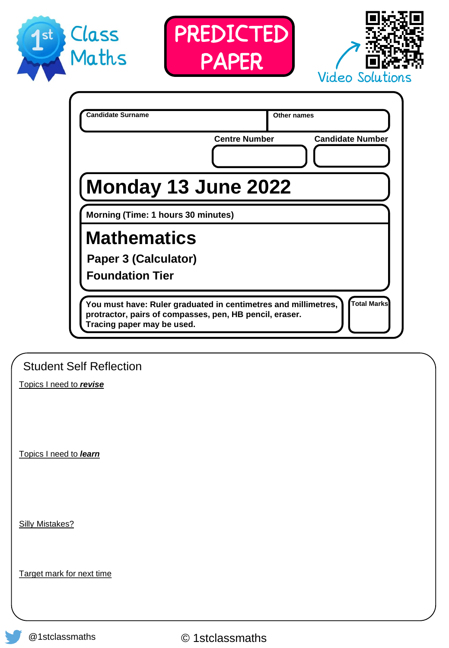





|                         | <b>Centre Number</b><br><b>Candidate Number</b><br>Monday 13 June 2022                                                                                                 |
|-------------------------|------------------------------------------------------------------------------------------------------------------------------------------------------------------------|
|                         | Morning (Time: 1 hours 30 minutes)                                                                                                                                     |
|                         | <b>Mathematics</b><br><b>Paper 3 (Calculator)</b><br><b>Foundation Tier</b>                                                                                            |
|                         | Total Marks<br>You must have: Ruler graduated in centimetres and millimetres,<br>protractor, pairs of compasses, pen, HB pencil, eraser.<br>Tracing paper may be used. |
|                         | <b>Student Self Reflection</b>                                                                                                                                         |
| Topics I need to revise |                                                                                                                                                                        |

Topics I need to *learn*

Silly Mistakes?

Target mark for next time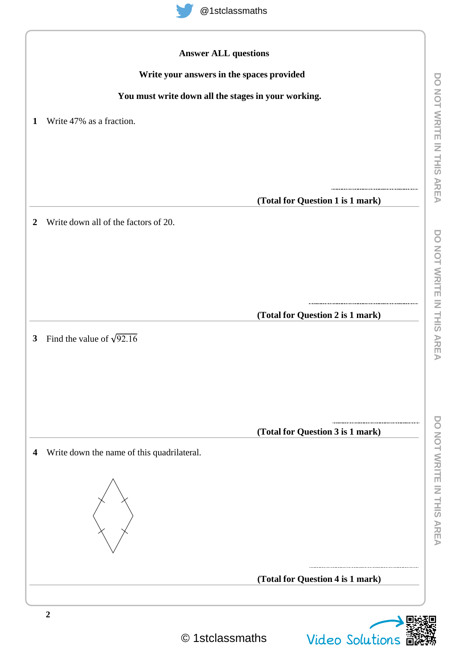

|                  | Write your answers in the spaces provided           |
|------------------|-----------------------------------------------------|
|                  | You must write down all the stages in your working. |
|                  |                                                     |
| $\mathbf{1}$     | Write 47% as a fraction.                            |
|                  |                                                     |
|                  |                                                     |
|                  |                                                     |
|                  | (Total for Question 1 is 1 mark)                    |
| $\boldsymbol{2}$ | Write down all of the factors of 20.                |
|                  |                                                     |
|                  |                                                     |
|                  |                                                     |
|                  |                                                     |
|                  | (Total for Question 2 is 1 mark)                    |
| $\mathbf{3}$     | Find the value of $\sqrt{92.16}$                    |
|                  |                                                     |
|                  |                                                     |
|                  |                                                     |
|                  |                                                     |
|                  | (Total for Question 3 is 1 mark)                    |
| 4                | Write down the name of this quadrilateral.          |
|                  |                                                     |
|                  |                                                     |
|                  |                                                     |
|                  |                                                     |
|                  |                                                     |
|                  | (Total for Question 4 is 1 mark)                    |

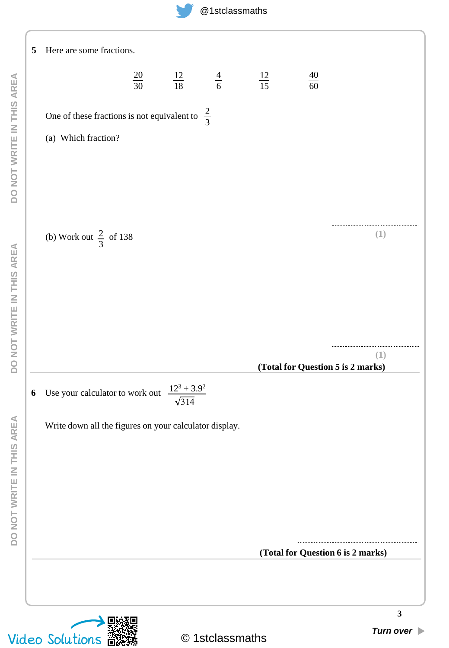

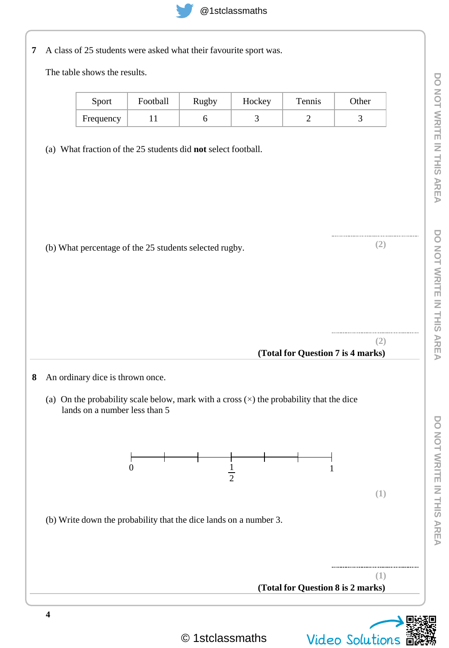

|  |  |  |  |  | 7 A class of 25 students were asked what their favourite sport was. |
|--|--|--|--|--|---------------------------------------------------------------------|
|--|--|--|--|--|---------------------------------------------------------------------|

The table shows the results.

| Sport     | Football | Rugby | Hockey | Tennis | Other |
|-----------|----------|-------|--------|--------|-------|
| Frequency |          |       |        | -      |       |

(a) What fraction of the 25 students did **not** select football.

| (b) What percentage of the 25 students selected rugby.               | (2) |
|----------------------------------------------------------------------|-----|
|                                                                      |     |
|                                                                      |     |
|                                                                      |     |
| (Total for Question 7 is 4 marks)                                    | (2) |
|                                                                      |     |
| ┯<br>$\boldsymbol{0}$<br>$\mathbf{1}$                                |     |
| $\begin{array}{c c}\n\hline\n&1 \\ \hline\n\frac{1}{2}\n\end{array}$ | (1) |
| (b) Write down the probability that the dice lands on a number 3.    |     |
|                                                                      |     |
|                                                                      |     |

© 1stclassmaths Video Solutions

п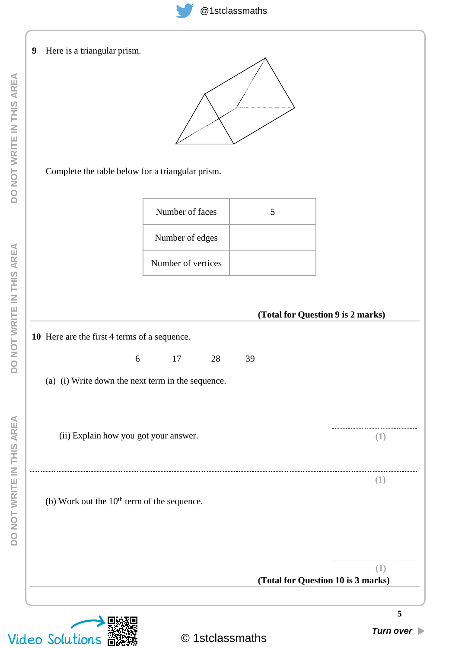

### **9** Here is a triangular prism.



Complete the table below for a triangular prism.

| Number of faces    | 5 |
|--------------------|---|
| Number of edges    |   |
| Number of vertices |   |

## **(Total for Question 9 is 2 marks)**

**(Total for Question 10 is 3 marks)**

**10** Here are the first 4 terms of a sequence.

6 17 28 39

(a) (i) Write down the next term in the sequence.

(ii) Explain how you got your answer.

(b) Work out the  $10<sup>th</sup>$  term of the sequence.

**(1)**

**(1)**

**(1)**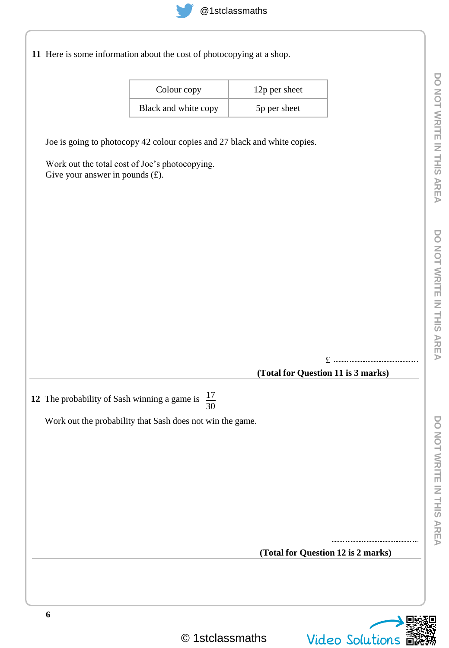

**11** Here is some information about the cost of photocopying at a shop.

| Colour copy          | 12p per sheet |
|----------------------|---------------|
| Black and white copy | 5p per sheet  |

Joe is going to photocopy 42 colour copies and 27 black and white copies.

Work out the total cost of Joe's photocopying. Give your answer in pounds  $(f)$ .

£

### **(Total for Question 11 is 3 marks)**

**12** The probability of Sash winning a game is  $\frac{17}{20}$ 30

Work out the probability that Sash does not win the game.

**(Total for Question 12 is 2 marks)**

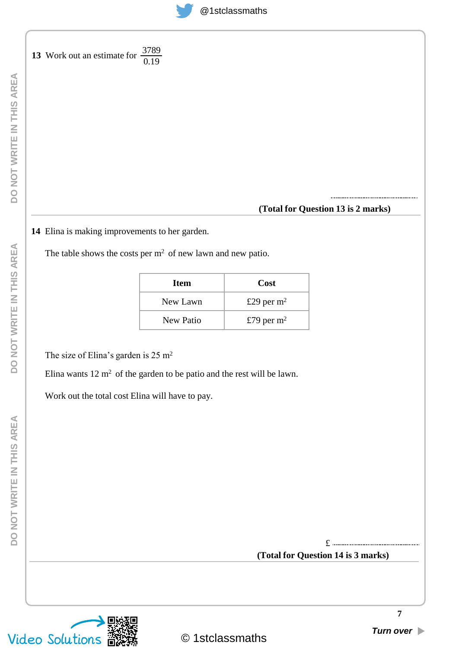# @1stclassmaths

**13** Work out an estimate for  $\frac{3789}{0.10}$ 0.19

**(Total for Question 13 is 2 marks)**

**14** Elina is making improvements to her garden.

The table shows the costs per  $m<sup>2</sup>$  of new lawn and new patio.

| <b>Item</b> | Cost         |
|-------------|--------------|
| New Lawn    | £29 per $m2$ |
| New Patio   | £79 per $m2$ |

The size of Elina's garden is 25 m<sup>2</sup>

Elina wants  $12 \text{ m}^2$  of the garden to be patio and the rest will be lawn.

Work out the total cost Elina will have to pay.

**(Total for Question 14 is 3 marks)** £

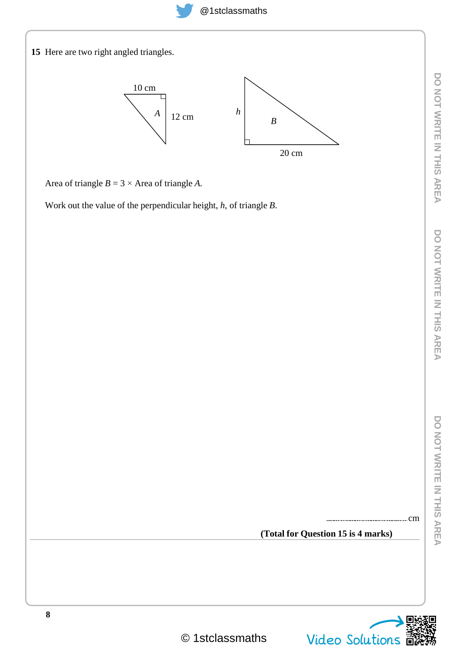

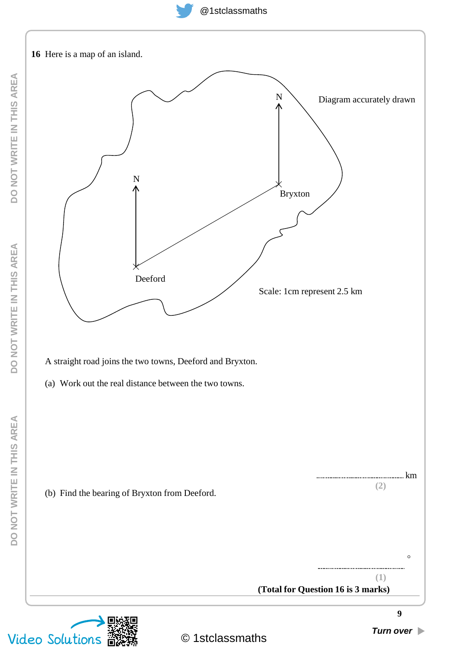@1stclassmaths

![](_page_8_Figure_1.jpeg)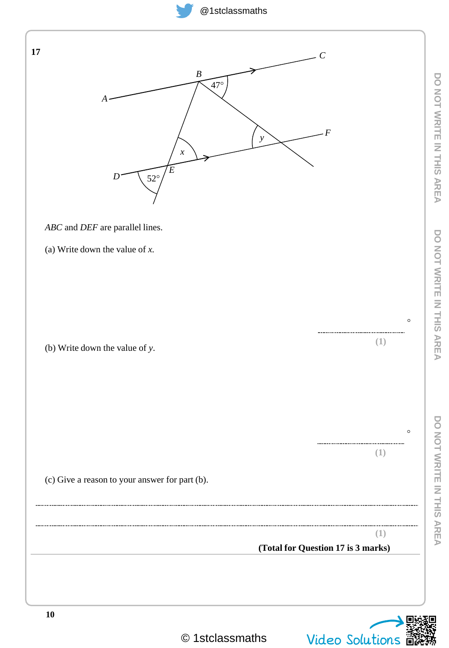# @1stclassmaths

![](_page_9_Figure_1.jpeg)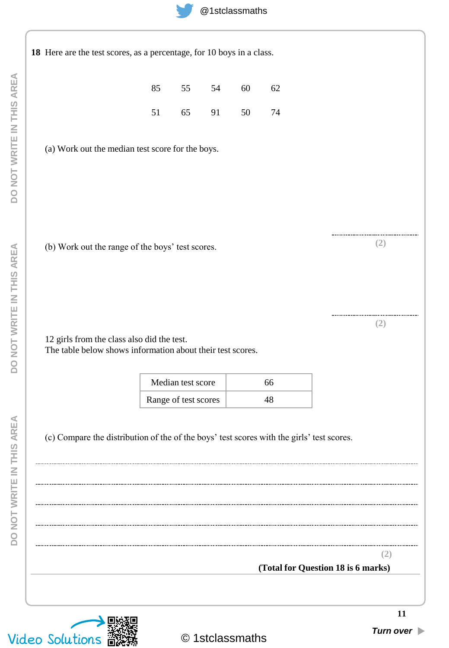![](_page_10_Picture_0.jpeg)

|                                                                                                          | 85 | 55                                        | 54 | 60 | 62       |                                    |     |
|----------------------------------------------------------------------------------------------------------|----|-------------------------------------------|----|----|----------|------------------------------------|-----|
|                                                                                                          | 51 | 65                                        | 91 | 50 | 74       |                                    |     |
| (a) Work out the median test score for the boys.                                                         |    |                                           |    |    |          |                                    |     |
| (b) Work out the range of the boys' test scores.                                                         |    |                                           |    |    |          |                                    | (2) |
| 12 girls from the class also did the test.<br>The table below shows information about their test scores. |    |                                           |    |    |          |                                    | (2) |
|                                                                                                          |    | Median test score<br>Range of test scores |    |    | 66<br>48 |                                    |     |
| (c) Compare the distribution of the of the boys' test scores with the girls' test scores.                |    |                                           |    |    |          |                                    |     |
|                                                                                                          |    |                                           |    |    |          | (Total for Question 18 is 6 marks) | (Z) |

![](_page_10_Picture_2.jpeg)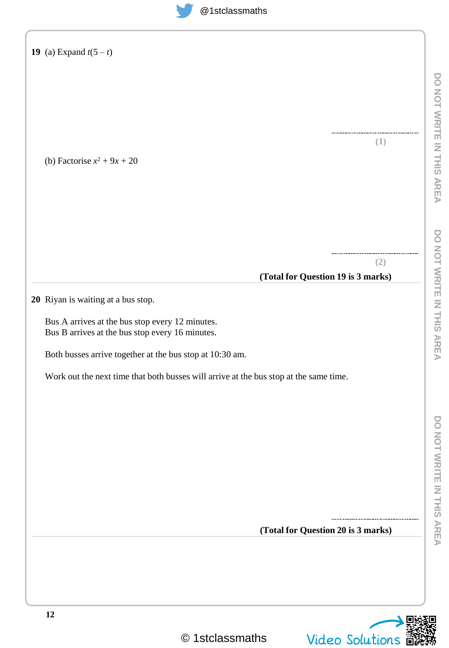![](_page_11_Picture_1.jpeg)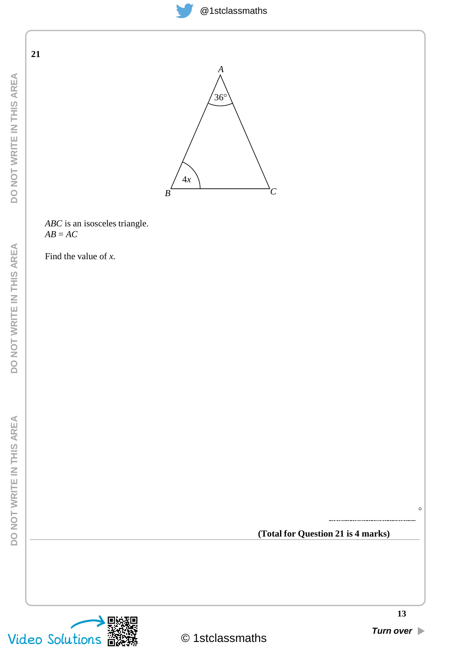![](_page_12_Picture_0.jpeg)

DO NOT WRITE IN THIS AREA **DO NOT WRITE IN THIS AREA** **21**

![](_page_12_Figure_4.jpeg)

*ABC* is an isosceles triangle. *AB* = *AC*

Find the value of *x.*

**(Total for Question 21 is 4 marks)**

![](_page_12_Picture_8.jpeg)

 $\circ$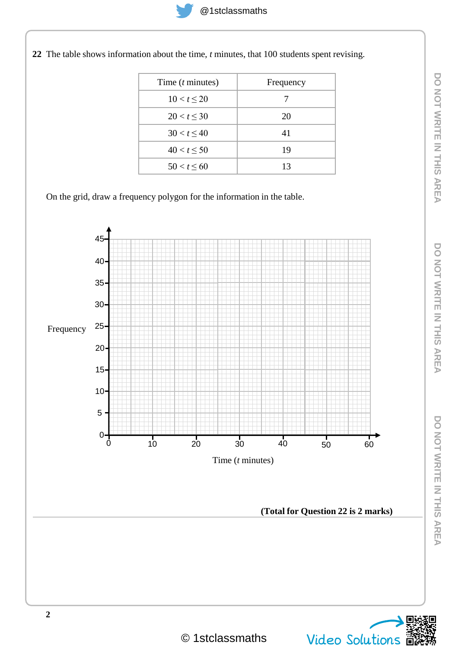- - Time (*t* minutes) Frequency  $10 < t \leq 20$  7  $20 < t \leq 30$  20  $30 < t \leq 40$  41  $40 < t \leq 50$  19  $50 < t \le 60$  13
- **22** The table shows information about the time, *t* minutes, that 100 students spent revising.

On the grid, draw a frequency polygon for the information in the table.

![](_page_13_Figure_5.jpeg)

![](_page_13_Picture_9.jpeg)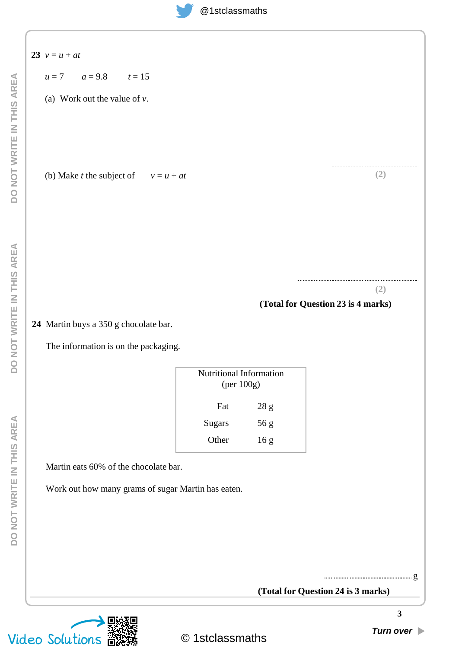| $u = 7$ $a = 9.8$ $t = 15$                                                    |                                       |                         |                                           |
|-------------------------------------------------------------------------------|---------------------------------------|-------------------------|-------------------------------------------|
| (a) Work out the value of $v$ .                                               |                                       |                         |                                           |
|                                                                               |                                       |                         |                                           |
|                                                                               |                                       |                         |                                           |
|                                                                               |                                       |                         |                                           |
| (b) Make <i>t</i> the subject of $v = u + at$                                 |                                       |                         | (2)                                       |
|                                                                               |                                       |                         |                                           |
|                                                                               |                                       |                         |                                           |
|                                                                               |                                       |                         |                                           |
|                                                                               |                                       |                         |                                           |
|                                                                               |                                       |                         |                                           |
|                                                                               |                                       |                         | (2)<br>(Total for Question 23 is 4 marks) |
|                                                                               |                                       |                         |                                           |
| 24 Martin buys a 350 g chocolate bar.<br>The information is on the packaging. | Nutritional Information<br>(per 100g) |                         |                                           |
|                                                                               | Fat                                   |                         |                                           |
|                                                                               | Sugars                                | $28\ \mathrm g$<br>56 g |                                           |
|                                                                               | Other                                 | 16 <sub>g</sub>         |                                           |
| Martin eats 60% of the chocolate bar.                                         |                                       |                         |                                           |
|                                                                               |                                       |                         |                                           |
| Work out how many grams of sugar Martin has eaten.                            |                                       |                         |                                           |
|                                                                               |                                       |                         |                                           |
|                                                                               |                                       |                         |                                           |
|                                                                               |                                       |                         |                                           |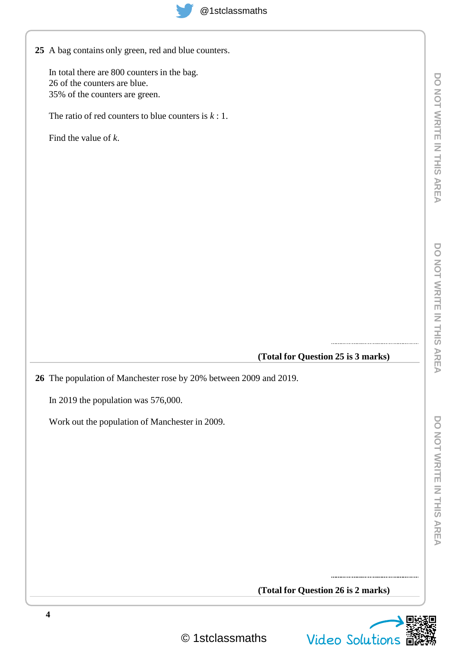**25** A bag contains only green, red and blue counters.

In total there are 800 counters in the bag. 26 of the counters are blue. 35% of the counters are green.

The ratio of red counters to blue counters is *k* : 1.

Find the value of *k*.

**(Total for Question 25 is 3 marks)**

**26** The population of Manchester rose by 20% between 2009 and 2019.

In 2019 the population was 576,000.

Work out the population of Manchester in 2009.

**(Total for Question 26 is 2 marks)**

![](_page_15_Picture_13.jpeg)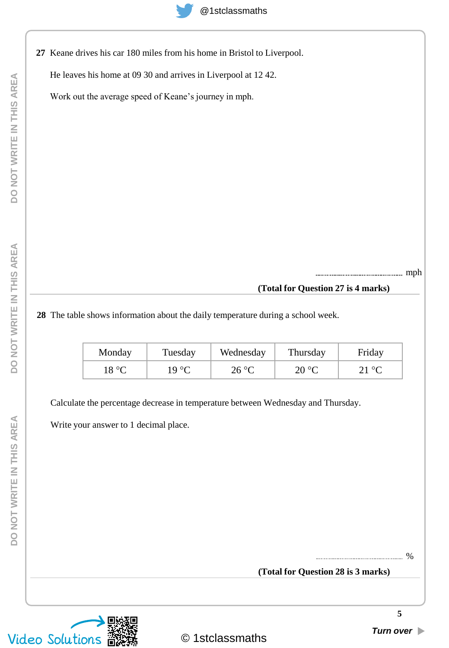**27** Keane drives his car 180 miles from his home in Bristol to Liverpool.

He leaves his home at 09 30 and arrives in Liverpool at 12 42.

Work out the average speed of Keane's journey in mph.

mph

# **(Total for Question 27 is 4 marks)**

**28** The table shows information about the daily temperature during a school week.

| Monday | Tuesday        | Wednesday | Thursday | Friday |
|--------|----------------|-----------|----------|--------|
| 18 °C  | $19^{\circ}$ C | 26 °C     | 20 °C    |        |

Calculate the percentage decrease in temperature between Wednesday and Thursday.

Write your answer to 1 decimal place.

**(Total for Question 28 is 3 marks)** %

**5**

# DO NOT WRITE IN THIS AREA **DO NOT WRITE IN THIS AREA**